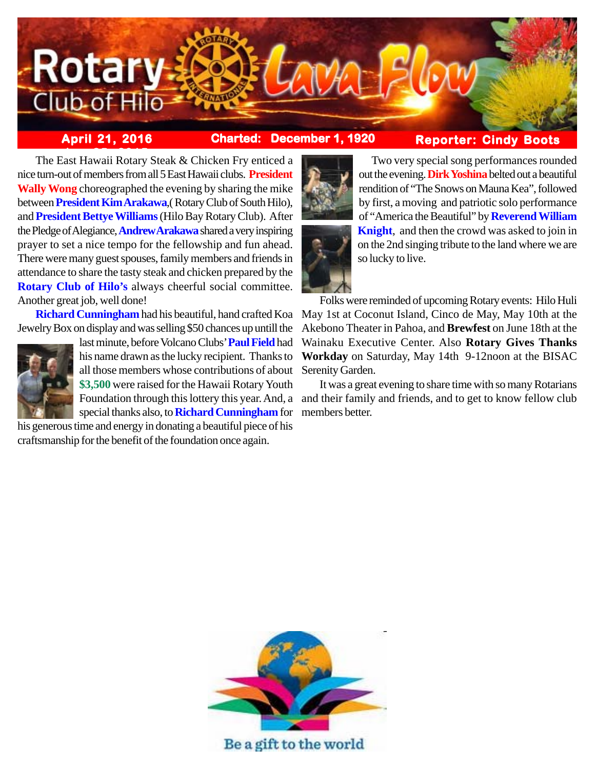

**April 21, 2016 Charted: December 1, 1920**

# **Reporter: Cindy Boots**

**The East Hawaii Rotary Steak & Chicken Fry enticed a** nice turn-out of members from all 5 East Hawaii clubs. **President Wally Wong** choreographed the evening by sharing the mike between **President Kim Arakawa**,( Rotary Club of South Hilo), and **President Bettye Williams** (Hilo Bay Rotary Club). After the Pledge of Alegiance, **Andrew Arakawa** shared a very inspiring prayer to set a nice tempo for the fellowship and fun ahead. There were many guest spouses, family members and friends in attendance to share the tasty steak and chicken prepared by the **Rotary Club of Hilo's** always cheerful social committee. Another great job, well done!

Jewelry Box on display and was selling \$50 chances up untill the



last minute, before Volcano Clubs' **Paul Field** had his name drawn as the lucky recipient. Thanks to all those members whose contributions of about **\$3,500** were raised for the Hawaii Rotary Youth Foundation through this lottery this year. And, a special thanks also, to **Richard Cunningham** for

his generous time and energy in donating a beautiful piece of his craftsmanship for the benefit of the foundation once again.



Two very special song performances rounded out the evening. **Dirk Yoshina** belted out a beautiful rendition of "The Snows on Mauna Kea", followed by first, a moving and patriotic solo performance of "America the Beautiful" by **Reverend William Knight**, and then the crowd was asked to join in on the 2nd singing tribute to the land where we are so lucky to live.

Richard Cunningham had his beautiful, hand crafted Koa May 1st at Coconut Island, Cinco de May, May 10th at the Folks were reminded of upcoming Rotary events: Hilo Huli Akebono Theater in Pahoa, and **Brewfest** on June 18th at the Wainaku Executive Center. Also **Rotary Gives Thanks Workday** on Saturday, May 14th 9-12noon at the BISAC Serenity Garden.

> It was a great evening to share time with so many Rotarians and their family and friends, and to get to know fellow club members better.